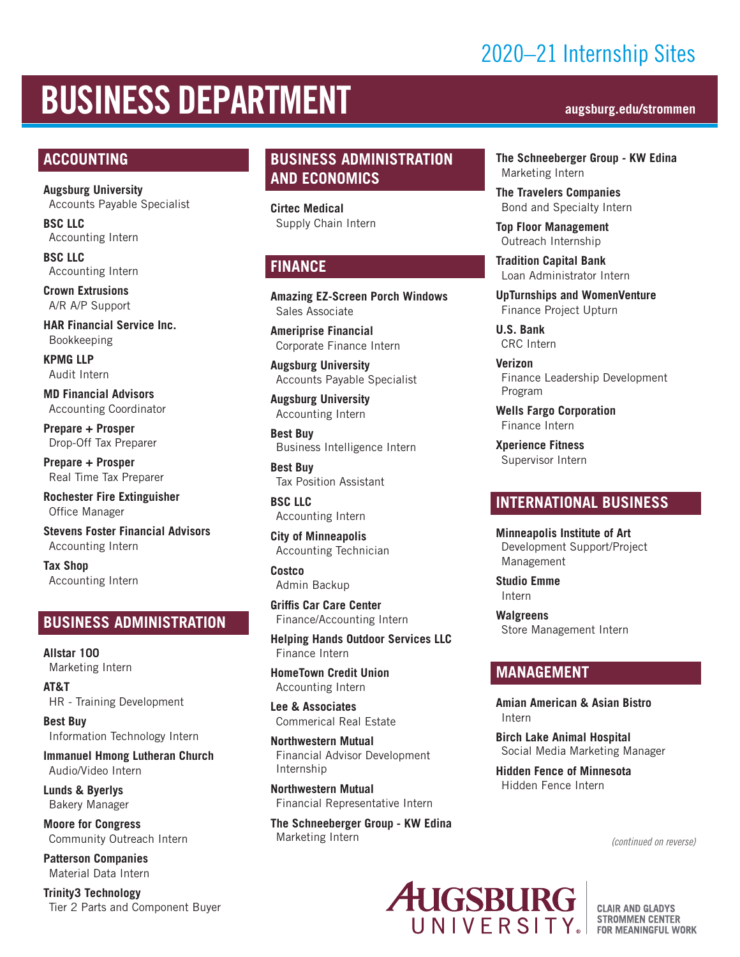## 2020–21 Internship Sites

# BUSINESS DEPARTMENT **augsburg.edu/strommen**

#### **ACCOUNTING**

**Augsburg University** Accounts Payable Specialist

**BSC LLC** Accounting Intern

**BSC LLC** Accounting Intern

**Crown Extrusions** A/R A/P Support

**HAR Financial Service Inc.** Bookkeeping

**KPMG LLP** Audit Intern

**MD Financial Advisors** Accounting Coordinator

**Prepare + Prosper** Drop-Off Tax Preparer

**Prepare + Prosper** Real Time Tax Preparer

**Rochester Fire Extinguisher**  Office Manager

**Stevens Foster Financial Advisors** Accounting Intern

**Tax Shop** Accounting Intern

#### **BUSINESS ADMINISTRATION**

**Allstar 100**  Marketing Intern

**AT&T** HR - Training Development

**Best Buy** Information Technology Intern

**Immanuel Hmong Lutheran Church** Audio/Video Intern

**Lunds & Byerlys** Bakery Manager

**Moore for Congress** Community Outreach Intern

**Patterson Companies** Material Data Intern

**Trinity3 Technology** Tier 2 Parts and Component Buyer

### **BUSINESS ADMINISTRATION AND ECONOMICS**

**Cirtec Medical** Supply Chain Intern

### **FINANCE**

**Amazing EZ-Screen Porch Windows** Sales Associate

**Ameriprise Financial** Corporate Finance Intern

**Augsburg University** Accounts Payable Specialist

**Augsburg University** Accounting Intern

**Best Buy** Business Intelligence Intern

**Best Buy** Tax Position Assistant

**BSC LLC** Accounting Intern

**City of Minneapolis** Accounting Technician

**Costco** Admin Backup

**Griffis Car Care Center** Finance/Accounting Intern

**Helping Hands Outdoor Services LLC** Finance Intern

**HomeTown Credit Union** Accounting Intern

**Lee & Associates**  Commerical Real Estate

**Northwestern Mutual** Financial Advisor Development Internship

**Northwestern Mutual** Financial Representative Intern

**The Schneeberger Group - KW Edina** Marketing Intern

**The Schneeberger Group - KW Edina** Marketing Intern

**The Travelers Companies** Bond and Specialty Intern

**Top Floor Management** Outreach Internship

**Tradition Capital Bank** Loan Administrator Intern

**UpTurnships and WomenVenture** Finance Project Upturn

**U.S. Bank** CRC Intern

**Verizon** Finance Leadership Development Program

**Wells Fargo Corporation**  Finance Intern

**Xperience Fitness** Supervisor Intern

#### **INTERNATIONAL BUSINESS**

**Minneapolis Institute of Art** Development Support/Project Management

**Studio Emme** Intern

**Walgreens** Store Management Intern

#### **MANAGEMENT**

**Amian American & Asian Bistro** Intern

**Birch Lake Animal Hospital** Social Media Marketing Manager

**Hidden Fence of Minnesota** Hidden Fence Intern

*(continued on reverse)*



**CLAIR AND GLADYS STROMMEN CENTER FOR MEANINGFUL WORK**